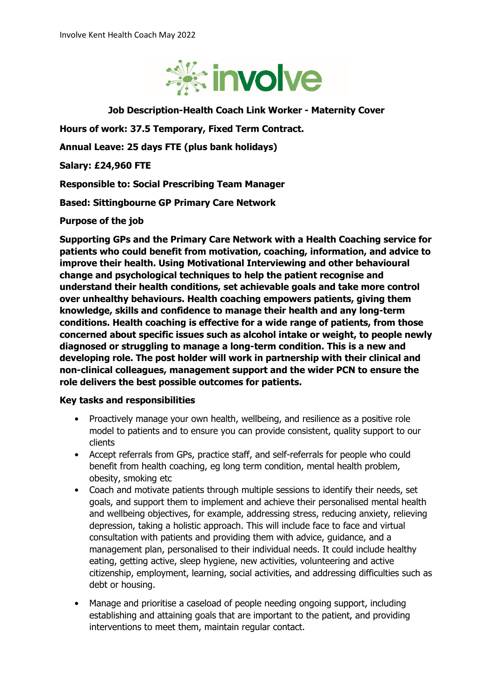

**Job Description-Health Coach Link Worker - Maternity Cover**

**Hours of work: 37.5 Temporary, Fixed Term Contract.**

**Annual Leave: 25 days FTE (plus bank holidays)**

**Salary: £24,960 FTE**

**Responsible to: Social Prescribing Team Manager**

**Based: Sittingbourne GP Primary Care Network**

**Purpose of the job**

**Supporting GPs and the Primary Care Network with a Health Coaching service for patients who could benefit from motivation, coaching, information, and advice to improve their health. Using Motivational Interviewing and other behavioural change and psychological techniques to help the patient recognise and understand their health conditions, set achievable goals and take more control over unhealthy behaviours. Health coaching empowers patients, giving them knowledge, skills and confidence to manage their health and any long-term conditions. Health coaching is effective for a wide range of patients, from those concerned about specific issues such as alcohol intake or weight, to people newly diagnosed or struggling to manage a long-term condition. This is a new and developing role. The post holder will work in partnership with their clinical and non-clinical colleagues, management support and the wider PCN to ensure the role delivers the best possible outcomes for patients.**

### **Key tasks and responsibilities**

- Proactively manage your own health, wellbeing, and resilience as a positive role model to patients and to ensure you can provide consistent, quality support to our clients
- Accept referrals from GPs, practice staff, and self-referrals for people who could benefit from health coaching, eg long term condition, mental health problem, obesity, smoking etc
- Coach and motivate patients through multiple sessions to identify their needs, set goals, and support them to implement and achieve their personalised mental health and wellbeing objectives, for example, addressing stress, reducing anxiety, relieving depression, taking a holistic approach. This will include face to face and virtual consultation with patients and providing them with advice, guidance, and a management plan, personalised to their individual needs. It could include healthy eating, getting active, sleep hygiene, new activities, volunteering and active citizenship, employment, learning, social activities, and addressing difficulties such as debt or housing.
- Manage and prioritise a caseload of people needing ongoing support, including establishing and attaining goals that are important to the patient, and providing interventions to meet them, maintain regular contact.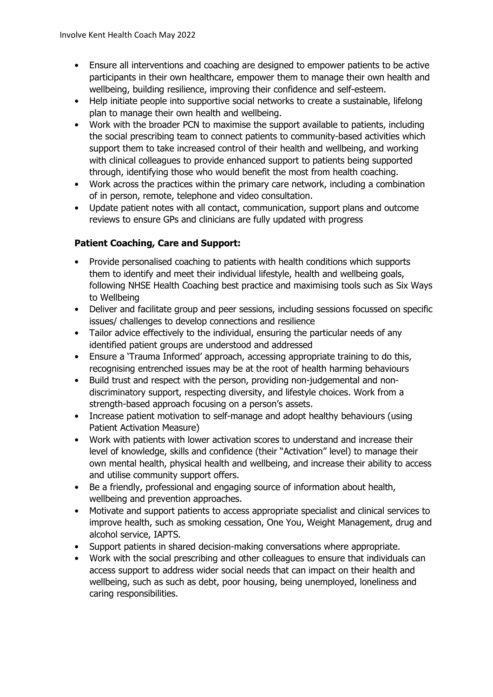- Ensure all interventions and coaching are designed to empower patients to be active participants in their own healthcare, empower them to manage their own health and wellbeing, building resilience, improving their confidence and self-esteem.
- Help initiate people into supportive social networks to create a sustainable, lifelong plan to manage their own health and wellbeing.
- Work with the broader PCN to maximise the support available to patients, including the social prescribing team to connect patients to community-based activities which support them to take increased control of their health and wellbeing, and working with clinical colleagues to provide enhanced support to patients being supported through, identifying those who would benefit the most from health coaching.
- Work across the practices within the primary care network, including a combination of in person, remote, telephone and video consultation.
- Update patient notes with all contact, communication, support plans and outcome reviews to ensure GPs and clinicians are fully updated with progress

# **Patient Coaching, Care and Support:**

- Provide personalised coaching to patients with health conditions which supports them to identify and meet their individual lifestyle, health and wellbeing goals, following NHSE Health Coaching best practice and maximising tools such as Six Ways to Wellbeing
- Deliver and facilitate group and peer sessions, including sessions focussed on specific issues/ challenges to develop connections and resilience
- Tailor advice effectively to the individual, ensuring the particular needs of any identified patient groups are understood and addressed
- Ensure a 'Trauma Informed' approach, accessing appropriate training to do this, recognising entrenched issues may be at the root of health harming behaviours
- Build trust and respect with the person, providing non-judgemental and nondiscriminatory support, respecting diversity, and lifestyle choices. Work from a strength-based approach focusing on a person's assets.
- Increase patient motivation to self-manage and adopt healthy behaviours (using Patient Activation Measure)
- Work with patients with lower activation scores to understand and increase their level of knowledge, skills and confidence (their "Activation" level) to manage their own mental health, physical health and wellbeing, and increase their ability to access and utilise community support offers.
- Be a friendly, professional and engaging source of information about health, wellbeing and prevention approaches.
- Motivate and support patients to access appropriate specialist and clinical services to improve health, such as smoking cessation, One You, Weight Management, drug and alcohol service, IAPTS.
- Support patients in shared decision-making conversations where appropriate.
- Work with the social prescribing and other colleagues to ensure that individuals can access support to address wider social needs that can impact on their health and wellbeing, such as such as debt, poor housing, being unemployed, loneliness and caring responsibilities.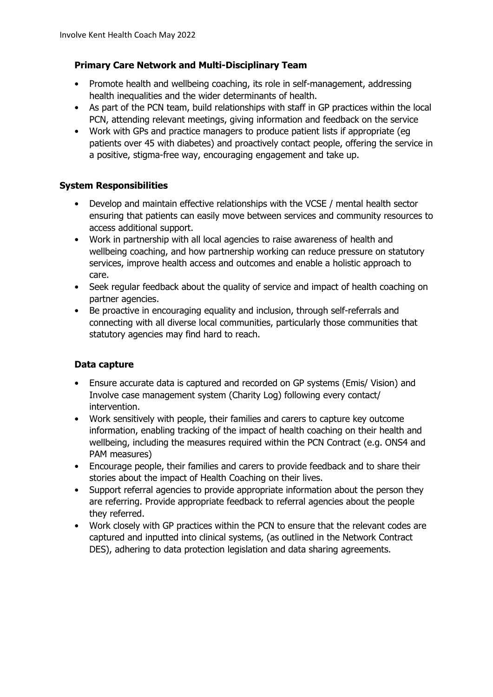# **Primary Care Network and Multi-Disciplinary Team**

- Promote health and wellbeing coaching, its role in self-management, addressing health inequalities and the wider determinants of health.
- As part of the PCN team, build relationships with staff in GP practices within the local PCN, attending relevant meetings, giving information and feedback on the service
- Work with GPs and practice managers to produce patient lists if appropriate (eg patients over 45 with diabetes) and proactively contact people, offering the service in a positive, stigma-free way, encouraging engagement and take up.

# **System Responsibilities**

- Develop and maintain effective relationships with the VCSE / mental health sector ensuring that patients can easily move between services and community resources to access additional support.
- Work in partnership with all local agencies to raise awareness of health and wellbeing coaching, and how partnership working can reduce pressure on statutory services, improve health access and outcomes and enable a holistic approach to care.
- Seek regular feedback about the quality of service and impact of health coaching on partner agencies.
- Be proactive in encouraging equality and inclusion, through self-referrals and connecting with all diverse local communities, particularly those communities that statutory agencies may find hard to reach.

# **Data capture**

- Ensure accurate data is captured and recorded on GP systems (Emis/ Vision) and Involve case management system (Charity Log) following every contact/ intervention.
- Work sensitively with people, their families and carers to capture key outcome information, enabling tracking of the impact of health coaching on their health and wellbeing, including the measures required within the PCN Contract (e.g. ONS4 and PAM measures)
- Encourage people, their families and carers to provide feedback and to share their stories about the impact of Health Coaching on their lives.
- Support referral agencies to provide appropriate information about the person they are referring. Provide appropriate feedback to referral agencies about the people they referred.
- Work closely with GP practices within the PCN to ensure that the relevant codes are captured and inputted into clinical systems, (as outlined in the Network Contract DES), adhering to data protection legislation and data sharing agreements.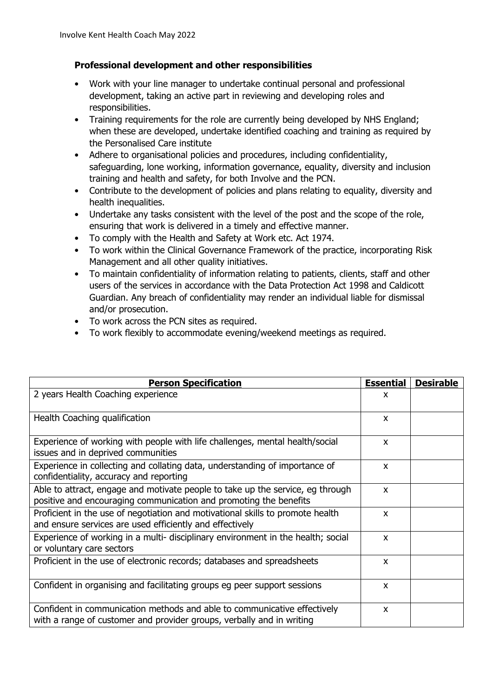### **Professional development and other responsibilities**

- Work with your line manager to undertake continual personal and professional development, taking an active part in reviewing and developing roles and responsibilities.
- Training requirements for the role are currently being developed by NHS England; when these are developed, undertake identified coaching and training as required by the Personalised Care institute
- Adhere to organisational policies and procedures, including confidentiality, safeguarding, lone working, information governance, equality, diversity and inclusion training and health and safety, for both Involve and the PCN.
- Contribute to the development of policies and plans relating to equality, diversity and health inequalities.
- Undertake any tasks consistent with the level of the post and the scope of the role, ensuring that work is delivered in a timely and effective manner.
- To comply with the Health and Safety at Work etc. Act 1974.
- To work within the Clinical Governance Framework of the practice, incorporating Risk Management and all other quality initiatives.
- To maintain confidentiality of information relating to patients, clients, staff and other users of the services in accordance with the Data Protection Act 1998 and Caldicott Guardian. Any breach of confidentiality may render an individual liable for dismissal and/or prosecution.
- To work across the PCN sites as required.
- To work flexibly to accommodate evening/weekend meetings as required.

| <b>Person Specification</b>                                                                                                                         | <b>Essential</b> | <b>Desirable</b> |
|-----------------------------------------------------------------------------------------------------------------------------------------------------|------------------|------------------|
| 2 years Health Coaching experience                                                                                                                  | X                |                  |
| Health Coaching qualification                                                                                                                       | X                |                  |
| Experience of working with people with life challenges, mental health/social<br>issues and in deprived communities                                  | X                |                  |
| Experience in collecting and collating data, understanding of importance of<br>confidentiality, accuracy and reporting                              | X                |                  |
| Able to attract, engage and motivate people to take up the service, eg through<br>positive and encouraging communication and promoting the benefits | X                |                  |
| Proficient in the use of negotiation and motivational skills to promote health<br>and ensure services are used efficiently and effectively          | X                |                  |
| Experience of working in a multi- disciplinary environment in the health; social<br>or voluntary care sectors                                       | X                |                  |
| Proficient in the use of electronic records; databases and spreadsheets                                                                             | X                |                  |
| Confident in organising and facilitating groups eg peer support sessions                                                                            | X                |                  |
| Confident in communication methods and able to communicative effectively<br>with a range of customer and provider groups, verbally and in writing   | X                |                  |